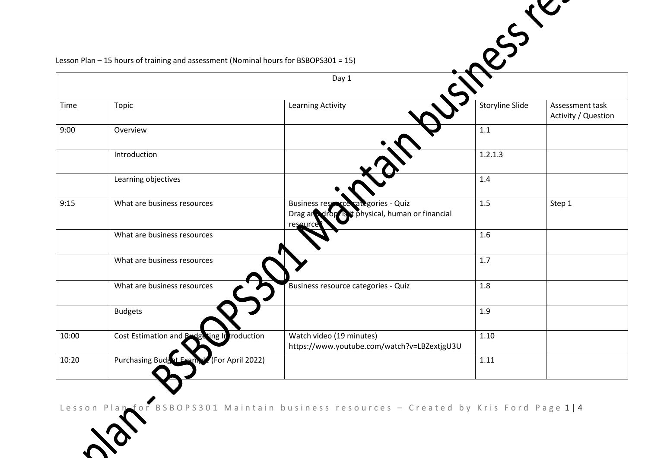|       |                                                                                      |                                                                                                           | 323             |                                        |  |
|-------|--------------------------------------------------------------------------------------|-----------------------------------------------------------------------------------------------------------|-----------------|----------------------------------------|--|
|       |                                                                                      |                                                                                                           |                 |                                        |  |
|       |                                                                                      |                                                                                                           |                 |                                        |  |
|       | Lesson Plan - 15 hours of training and assessment (Nominal hours for BSBOPS301 = 15) |                                                                                                           |                 |                                        |  |
|       |                                                                                      | Day 1                                                                                                     |                 |                                        |  |
|       |                                                                                      |                                                                                                           |                 |                                        |  |
| Time  | Topic                                                                                | <b>Learning Activity</b>                                                                                  | Storyline Slide | Assessment task<br>Activity / Question |  |
| 9:00  | Overview                                                                             |                                                                                                           | 1.1             |                                        |  |
|       | Introduction                                                                         |                                                                                                           | 1.2.1.3         |                                        |  |
|       | Learning objectives                                                                  |                                                                                                           | 1.4             |                                        |  |
| 9:15  | What are business resources                                                          | ategories - Quiz<br><b>Business res</b><br>t physical, human or financial<br>Drag and drop is<br>resource | 1.5             | Step 1                                 |  |
|       | What are business resources                                                          |                                                                                                           | 1.6             |                                        |  |
|       | What are business resources                                                          |                                                                                                           | 1.7             |                                        |  |
|       | What are business resources                                                          | Business resource categories - Quiz                                                                       | 1.8             |                                        |  |
|       | <b>Budgets</b>                                                                       |                                                                                                           | 1.9             |                                        |  |
| 10:00 | Cost Estimation and B<br>ting Introduction                                           | Watch video (19 minutes)<br>https://www.youtube.com/watch?v=LBZextjgU3U                                   | 1.10            |                                        |  |
| 10:20 | (For April 2022)<br><b>Purchasing Budg</b>                                           |                                                                                                           | 1.11            |                                        |  |
|       |                                                                                      |                                                                                                           |                 |                                        |  |

Lesson Plan for BSBOPS301 Maintain business resources – Created by Kris Ford Page 1|4